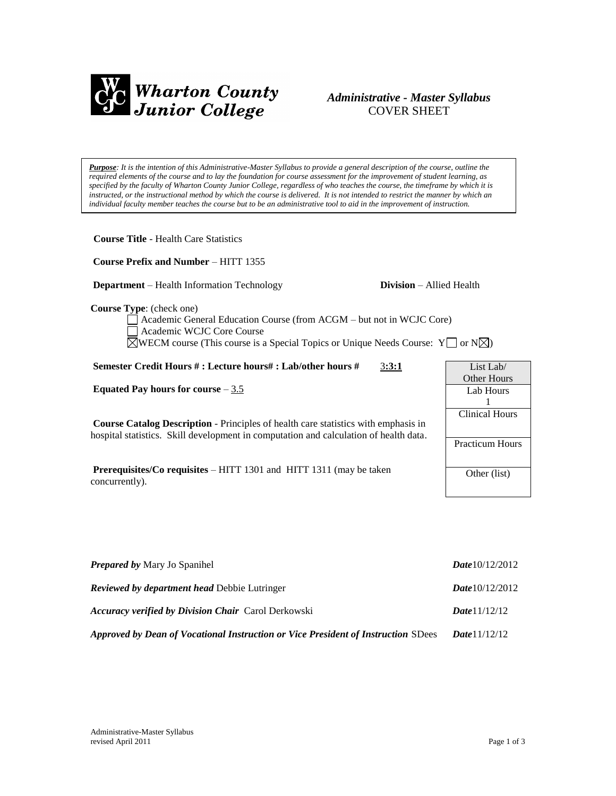

# *Administrative - Master Syllabus*  COVER SHEET

*Purpose: It is the intention of this Administrative-Master Syllabus to provide a general description of the course, outline the required elements of the course and to lay the foundation for course assessment for the improvement of student learning, as specified by the faculty of Wharton County Junior College, regardless of who teaches the course, the timeframe by which it is*  instructed, or the instructional method by which the course is delivered. It is not intended to restrict the manner by which an *individual faculty member teaches the course but to be an administrative tool to aid in the improvement of instruction.*

**Course Prefix and Number** – HITT 1355

**Department** – Health Information Technology **Division** – Allied Health

**Course Type**: (check one)

Academic General Education Course (from ACGM – but not in WCJC Core) Academic WCJC Core Course  $\boxtimes$ WECM course (This course is a Special Topics or Unique Needs Course: Y or N $\boxtimes$ )

**Semester Credit Hours # : Lecture hours# : Lab/other hours #** 3**:3:1**

**Equated Pay hours for course** – 3.5

**Course Catalog Description** - Principles of health care statistics with emphasis in hospital statistics. Skill development in computation and calculation of health data.

**Prerequisites/Co requisites** – HITT 1301 and HITT 1311 (may be taken concurrently).

| <b>Prepared by Mary Jo Spanihel</b>                                               | Date $10/12/2012$      |
|-----------------------------------------------------------------------------------|------------------------|
| <b>Reviewed by department head Debbie Lutringer</b>                               | Date $10/12/2012$      |
| <b>Accuracy verified by Division Chair</b> Carol Derkowski                        | Date 11/12/12          |
| Approved by Dean of Vocational Instruction or Vice President of Instruction SDees | <b>Date</b> $11/12/12$ |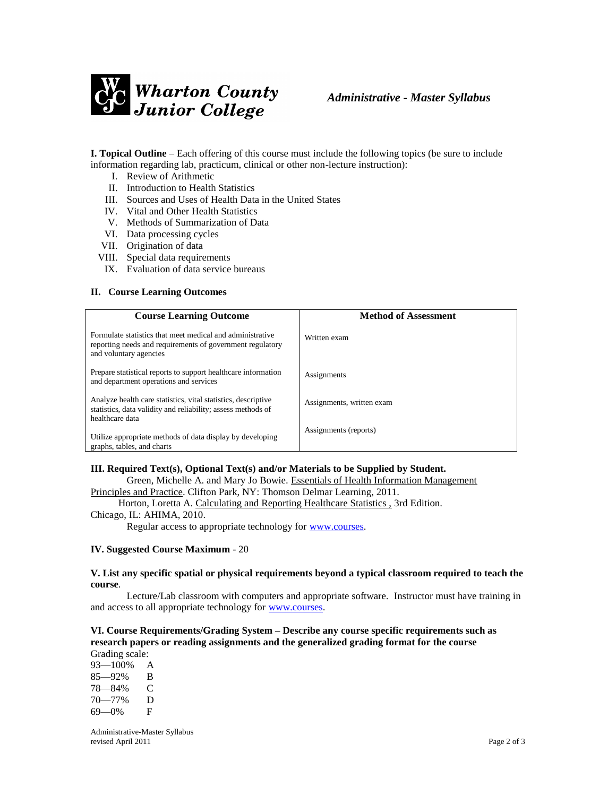

**I. Topical Outline** – Each offering of this course must include the following topics (be sure to include information regarding lab, practicum, clinical or other non-lecture instruction):

- I. Review of Arithmetic
- II. Introduction to Health Statistics
- III. Sources and Uses of Health Data in the United States
- IV. Vital and Other Health Statistics
- V. Methods of Summarization of Data
- VI. Data processing cycles
- VII. Origination of data
- VIII. Special data requirements
- IX. Evaluation of data service bureaus

### **II. Course Learning Outcomes**

| <b>Course Learning Outcome</b>                                                                                                                   | <b>Method of Assessment</b> |
|--------------------------------------------------------------------------------------------------------------------------------------------------|-----------------------------|
| Formulate statistics that meet medical and administrative<br>reporting needs and requirements of government regulatory<br>and voluntary agencies | Written exam                |
| Prepare statistical reports to support healthcare information<br>and department operations and services                                          | Assignments                 |
| Analyze health care statistics, vital statistics, descriptive<br>statistics, data validity and reliability; assess methods of<br>healthcare data | Assignments, written exam   |
| Utilize appropriate methods of data display by developing<br>graphs, tables, and charts                                                          | Assignments (reports)       |

# **III. Required Text(s), Optional Text(s) and/or Materials to be Supplied by Student.**

Green, Michelle A. and Mary Jo Bowie. Essentials of Health Information Management Principles and Practice. Clifton Park, NY: Thomson Delmar Learning, 2011.

Horton, Loretta A. Calculating and Reporting Healthcare Statistics , 3rd Edition.

Chicago, IL: AHIMA, 2010.

Regular access to appropriate technology for [www.courses.](http://www.courses/)

### **IV. Suggested Course Maximum** - 20

#### **V. List any specific spatial or physical requirements beyond a typical classroom required to teach the course**.

Lecture/Lab classroom with computers and appropriate software. Instructor must have training in and access to all appropriate technology for [www.courses.](http://www.courses/)

## **VI. Course Requirements/Grading System – Describe any course specific requirements such as research papers or reading assignments and the generalized grading format for the course** Grading scale:

93—100% A 85—92% B 78—84% C 70—77% D 69—0% F